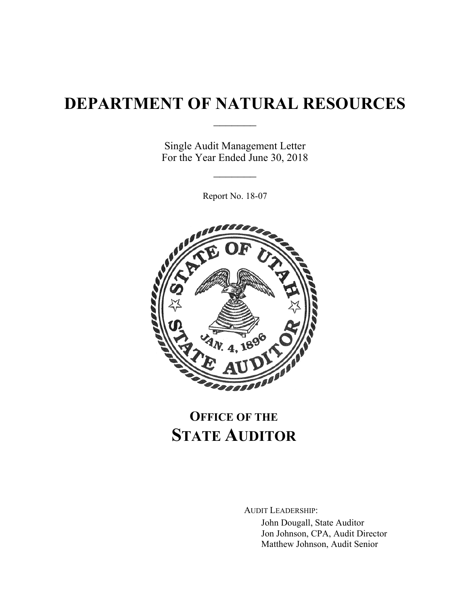# **DEPARTMENT OF NATURAL RESOURCES**

 $\frac{1}{2}$ 

Single Audit Management Letter For the Year Ended June 30, 2018

 $\frac{1}{2}$ 

Report No. 18-07



# **OFFICE OF THE STATE AUDITOR**

AUDIT LEADERSHIP:

John Dougall, State Auditor Jon Johnson, CPA, Audit Director Matthew Johnson, Audit Senior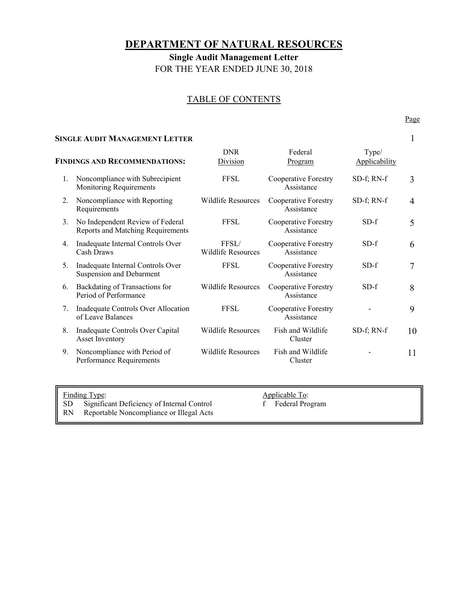# **DEPARTMENT OF NATURAL RESOURCES**

**Single Audit Management Letter**  FOR THE YEAR ENDED JUNE 30, 2018

# TABLE OF CONTENTS

#### **SINGLE AUDIT MANAGEMENT LETTER** 1

| <b>FINDINGS AND RECOMMENDATIONS:</b> |                                                                       | <b>DNR</b><br>Division             | Federal<br><b>Program</b>          | Type/<br><b>Applicability</b> |    |
|--------------------------------------|-----------------------------------------------------------------------|------------------------------------|------------------------------------|-------------------------------|----|
| 1.                                   | Noncompliance with Subrecipient<br>Monitoring Requirements            | <b>FFSL</b>                        | Cooperative Forestry<br>Assistance | SD-f; RN-f                    | 3  |
| 2.                                   | Noncompliance with Reporting<br>Requirements                          | Wildlife Resources                 | Cooperative Forestry<br>Assistance | SD-f; RN-f                    | 4  |
| 3.                                   | No Independent Review of Federal<br>Reports and Matching Requirements | <b>FFSL</b>                        | Cooperative Forestry<br>Assistance | $SD-f$                        | 5  |
| 4.                                   | Inadequate Internal Controls Over<br>Cash Draws                       | FFSL/<br><b>Wildlife Resources</b> | Cooperative Forestry<br>Assistance | $SD-f$                        | 6  |
| 5.                                   | Inadequate Internal Controls Over<br>Suspension and Debarment         | <b>FFSL</b>                        | Cooperative Forestry<br>Assistance | $SD-f$                        | 7  |
| 6.                                   | Backdating of Transactions for<br>Period of Performance               | Wildlife Resources                 | Cooperative Forestry<br>Assistance | $SD-f$                        | 8  |
| 7.                                   | Inadequate Controls Over Allocation<br>of Leave Balances              | <b>FFSL</b>                        | Cooperative Forestry<br>Assistance |                               | 9  |
| 8.                                   | Inadequate Controls Over Capital<br><b>Asset Inventory</b>            | <b>Wildlife Resources</b>          | Fish and Wildlife<br>Cluster       | SD-f; RN-f                    | 10 |
| 9.                                   | Noncompliance with Period of<br>Performance Requirements              | Wildlife Resources                 | Fish and Wildlife<br>Cluster       |                               | 11 |
|                                      |                                                                       |                                    |                                    |                               |    |

Finding Type:<br>
SD Significant Deficiency of Internal Control<br>
f Federal Program

- SD Significant Deficiency of Internal Control<br>RN Reportable Noncompliance or Illegal Acts Reportable Noncompliance or Illegal Acts
- 
- 

Page **Page**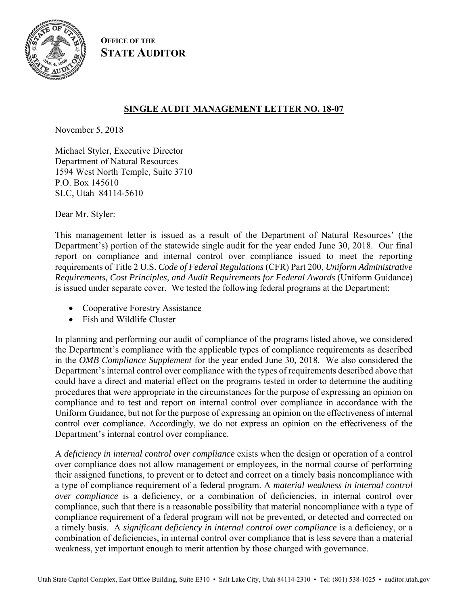

**OFFICE OF THE STATE AUDITOR**

# **SINGLE AUDIT MANAGEMENT LETTER NO. 18-07**

November 5, 2018

Michael Styler, Executive Director Department of Natural Resources 1594 West North Temple, Suite 3710 P.O. Box 145610 SLC, Utah 84114-5610

Dear Mr. Styler:

This management letter is issued as a result of the Department of Natural Resources' (the Department's) portion of the statewide single audit for the year ended June 30, 2018. Our final report on compliance and internal control over compliance issued to meet the reporting requirements of Title 2 U.S. *Code of Federal Regulations* (CFR) Part 200, *Uniform Administrative Requirements, Cost Principles, and Audit Requirements for Federal Awards* (Uniform Guidance) is issued under separate cover. We tested the following federal programs at the Department:

- Cooperative Forestry Assistance
- Fish and Wildlife Cluster

In planning and performing our audit of compliance of the programs listed above, we considered the Department's compliance with the applicable types of compliance requirements as described in the *OMB Compliance Supplement* for the year ended June 30, 2018. We also considered the Department's internal control over compliance with the types of requirements described above that could have a direct and material effect on the programs tested in order to determine the auditing procedures that were appropriate in the circumstances for the purpose of expressing an opinion on compliance and to test and report on internal control over compliance in accordance with the Uniform Guidance, but not for the purpose of expressing an opinion on the effectiveness of internal control over compliance. Accordingly, we do not express an opinion on the effectiveness of the Department's internal control over compliance.

A *deficiency in internal control over compliance* exists when the design or operation of a control over compliance does not allow management or employees, in the normal course of performing their assigned functions, to prevent or to detect and correct on a timely basis noncompliance with a type of compliance requirement of a federal program. A *material weakness in internal control over compliance* is a deficiency, or a combination of deficiencies, in internal control over compliance, such that there is a reasonable possibility that material noncompliance with a type of compliance requirement of a federal program will not be prevented, or detected and corrected on a timely basis. A *significant deficiency in internal control over compliance* is a deficiency, or a combination of deficiencies, in internal control over compliance that is less severe than a material weakness, yet important enough to merit attention by those charged with governance.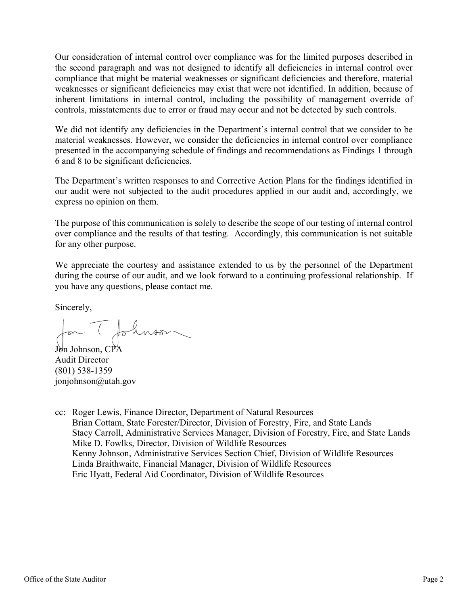Our consideration of internal control over compliance was for the limited purposes described in the second paragraph and was not designed to identify all deficiencies in internal control over compliance that might be material weaknesses or significant deficiencies and therefore, material weaknesses or significant deficiencies may exist that were not identified. In addition, because of inherent limitations in internal control, including the possibility of management override of controls, misstatements due to error or fraud may occur and not be detected by such controls.

We did not identify any deficiencies in the Department's internal control that we consider to be material weaknesses. However, we consider the deficiencies in internal control over compliance presented in the accompanying schedule of findings and recommendations as Findings 1 through 6 and 8 to be significant deficiencies.

The Department's written responses to and Corrective Action Plans for the findings identified in our audit were not subjected to the audit procedures applied in our audit and, accordingly, we express no opinion on them.

The purpose of this communication is solely to describe the scope of our testing of internal control over compliance and the results of that testing. Accordingly, this communication is not suitable for any other purpose.

We appreciate the courtesy and assistance extended to us by the personnel of the Department during the course of our audit, and we look forward to a continuing professional relationship. If you have any questions, please contact me.

Sincerely,

Jon T Johnson

Audit Director (801) 538-1359 jonjohnson@utah.gov

cc: Roger Lewis, Finance Director, Department of Natural Resources Brian Cottam, State Forester/Director, Division of Forestry, Fire, and State Lands Stacy Carroll, Administrative Services Manager, Division of Forestry, Fire, and State Lands Mike D. Fowlks, Director, Division of Wildlife Resources Kenny Johnson, Administrative Services Section Chief, Division of Wildlife Resources Linda Braithwaite, Financial Manager, Division of Wildlife Resources Eric Hyatt, Federal Aid Coordinator, Division of Wildlife Resources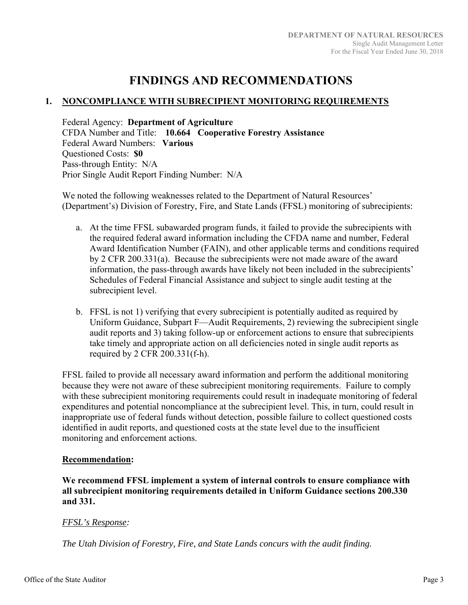# **FINDINGS AND RECOMMENDATIONS**

# **1. NONCOMPLIANCE WITH SUBRECIPIENT MONITORING REQUIREMENTS**

Federal Agency: **Department of Agriculture**  CFDA Number and Title: **10.664 Cooperative Forestry Assistance**  Federal Award Numbers: **Various**  Questioned Costs: **\$0** Pass-through Entity: N/A Prior Single Audit Report Finding Number: N/A

We noted the following weaknesses related to the Department of Natural Resources' (Department's) Division of Forestry, Fire, and State Lands (FFSL) monitoring of subrecipients:

- a. At the time FFSL subawarded program funds, it failed to provide the subrecipients with the required federal award information including the CFDA name and number, Federal Award Identification Number (FAIN), and other applicable terms and conditions required by 2 CFR 200.331(a). Because the subrecipients were not made aware of the award information, the pass-through awards have likely not been included in the subrecipients' Schedules of Federal Financial Assistance and subject to single audit testing at the subrecipient level.
- b. FFSL is not 1) verifying that every subrecipient is potentially audited as required by Uniform Guidance, Subpart F—Audit Requirements, 2) reviewing the subrecipient single audit reports and 3) taking follow-up or enforcement actions to ensure that subrecipients take timely and appropriate action on all deficiencies noted in single audit reports as required by 2 CFR 200.331(f-h).

FFSL failed to provide all necessary award information and perform the additional monitoring because they were not aware of these subrecipient monitoring requirements. Failure to comply with these subrecipient monitoring requirements could result in inadequate monitoring of federal expenditures and potential noncompliance at the subrecipient level. This, in turn, could result in inappropriate use of federal funds without detection, possible failure to collect questioned costs identified in audit reports, and questioned costs at the state level due to the insufficient monitoring and enforcement actions.

#### **Recommendation:**

**We recommend FFSL implement a system of internal controls to ensure compliance with all subrecipient monitoring requirements detailed in Uniform Guidance sections 200.330 and 331.** 

# *FFSL's Response:*

*The Utah Division of Forestry, Fire, and State Lands concurs with the audit finding.*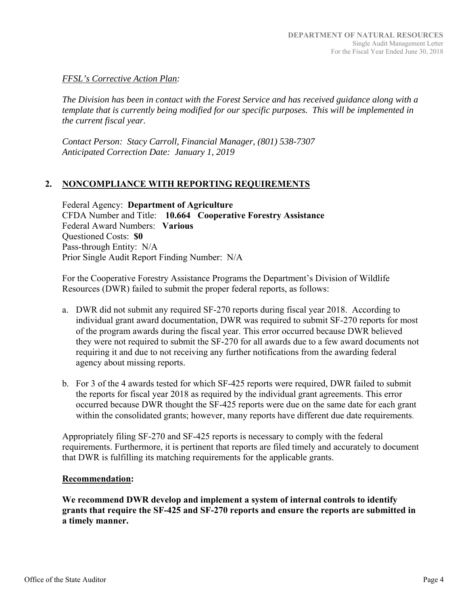# *FFSL's Corrective Action Plan:*

*The Division has been in contact with the Forest Service and has received guidance along with a template that is currently being modified for our specific purposes. This will be implemented in the current fiscal year.* 

*Contact Person: Stacy Carroll, Financial Manager, (801) 538-7307 Anticipated Correction Date: January 1, 2019* 

# **2. NONCOMPLIANCE WITH REPORTING REQUIREMENTS**

Federal Agency: **Department of Agriculture**  CFDA Number and Title: **10.664 Cooperative Forestry Assistance**  Federal Award Numbers: **Various**  Questioned Costs: **\$0** Pass-through Entity: N/A Prior Single Audit Report Finding Number: N/A

For the Cooperative Forestry Assistance Programs the Department's Division of Wildlife Resources (DWR) failed to submit the proper federal reports, as follows:

- a. DWR did not submit any required SF-270 reports during fiscal year 2018. According to individual grant award documentation, DWR was required to submit SF-270 reports for most of the program awards during the fiscal year. This error occurred because DWR believed they were not required to submit the SF-270 for all awards due to a few award documents not requiring it and due to not receiving any further notifications from the awarding federal agency about missing reports.
- b. For 3 of the 4 awards tested for which SF-425 reports were required, DWR failed to submit the reports for fiscal year 2018 as required by the individual grant agreements. This error occurred because DWR thought the SF-425 reports were due on the same date for each grant within the consolidated grants; however, many reports have different due date requirements.

Appropriately filing SF-270 and SF-425 reports is necessary to comply with the federal requirements. Furthermore, it is pertinent that reports are filed timely and accurately to document that DWR is fulfilling its matching requirements for the applicable grants.

#### **Recommendation:**

**We recommend DWR develop and implement a system of internal controls to identify grants that require the SF-425 and SF-270 reports and ensure the reports are submitted in a timely manner.**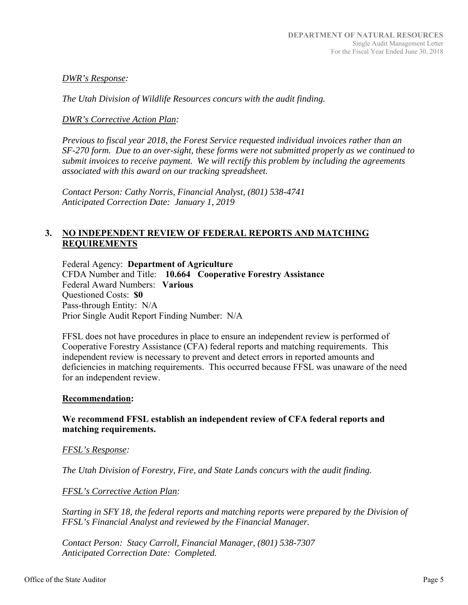#### *DWR's Response:*

*The Utah Division of Wildlife Resources concurs with the audit finding.* 

#### *DWR's Corrective Action Plan:*

*Previous to fiscal year 2018, the Forest Service requested individual invoices rather than an SF-270 form. Due to an over-sight, these forms were not submitted properly as we continued to submit invoices to receive payment. We will rectify this problem by including the agreements associated with this award on our tracking spreadsheet.* 

*Contact Person: Cathy Norris, Financial Analyst, (801) 538-4741 Anticipated Correction Date: January 1, 2019* 

# **3. NO INDEPENDENT REVIEW OF FEDERAL REPORTS AND MATCHING REQUIREMENTS**

Federal Agency: **Department of Agriculture**  CFDA Number and Title: **10.664 Cooperative Forestry Assistance**  Federal Award Numbers: **Various**  Questioned Costs: **\$0** Pass-through Entity: N/A Prior Single Audit Report Finding Number: N/A

FFSL does not have procedures in place to ensure an independent review is performed of Cooperative Forestry Assistance (CFA) federal reports and matching requirements. This independent review is necessary to prevent and detect errors in reported amounts and deficiencies in matching requirements. This occurred because FFSL was unaware of the need for an independent review.

#### **Recommendation:**

# **We recommend FFSL establish an independent review of CFA federal reports and matching requirements.**

#### *FFSL's Response:*

*The Utah Division of Forestry, Fire, and State Lands concurs with the audit finding.* 

#### *FFSL's Corrective Action Plan:*

*Starting in SFY 18, the federal reports and matching reports were prepared by the Division of FFSL's Financial Analyst and reviewed by the Financial Manager.* 

*Contact Person: Stacy Carroll, Financial Manager, (801) 538-7307 Anticipated Correction Date: Completed.*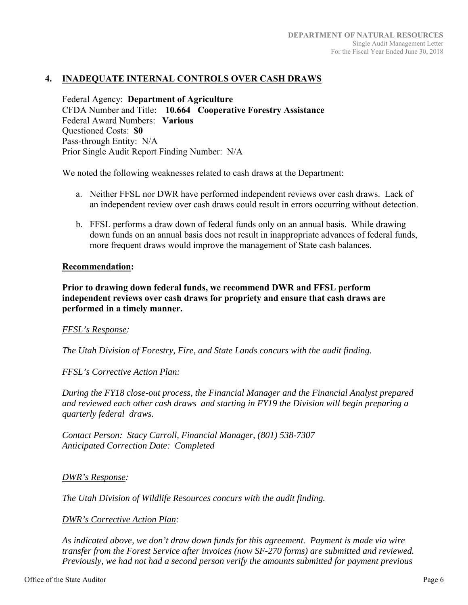# **4. INADEQUATE INTERNAL CONTROLS OVER CASH DRAWS**

Federal Agency: **Department of Agriculture**  CFDA Number and Title: **10.664 Cooperative Forestry Assistance**  Federal Award Numbers: **Various**  Questioned Costs: **\$0** Pass-through Entity: N/A Prior Single Audit Report Finding Number: N/A

We noted the following weaknesses related to cash draws at the Department:

- a. Neither FFSL nor DWR have performed independent reviews over cash draws. Lack of an independent review over cash draws could result in errors occurring without detection.
- b. FFSL performs a draw down of federal funds only on an annual basis. While drawing down funds on an annual basis does not result in inappropriate advances of federal funds, more frequent draws would improve the management of State cash balances.

#### **Recommendation:**

**Prior to drawing down federal funds, we recommend DWR and FFSL perform independent reviews over cash draws for propriety and ensure that cash draws are performed in a timely manner.** 

#### *FFSL's Response:*

*The Utah Division of Forestry, Fire, and State Lands concurs with the audit finding.* 

#### *FFSL's Corrective Action Plan:*

*During the FY18 close-out process, the Financial Manager and the Financial Analyst prepared and reviewed each other cash draws and starting in FY19 the Division will begin preparing a quarterly federal draws.* 

*Contact Person: Stacy Carroll, Financial Manager, (801) 538-7307 Anticipated Correction Date: Completed* 

#### *DWR's Response:*

*The Utah Division of Wildlife Resources concurs with the audit finding.* 

#### *DWR's Corrective Action Plan:*

*As indicated above, we don't draw down funds for this agreement. Payment is made via wire transfer from the Forest Service after invoices (now SF-270 forms) are submitted and reviewed. Previously, we had not had a second person verify the amounts submitted for payment previous*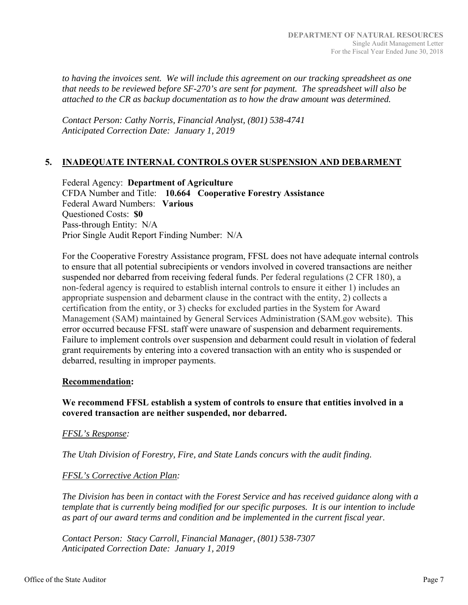*to having the invoices sent. We will include this agreement on our tracking spreadsheet as one that needs to be reviewed before SF-270's are sent for payment. The spreadsheet will also be attached to the CR as backup documentation as to how the draw amount was determined.* 

*Contact Person: Cathy Norris, Financial Analyst, (801) 538-4741 Anticipated Correction Date: January 1, 2019* 

# **5. INADEQUATE INTERNAL CONTROLS OVER SUSPENSION AND DEBARMENT**

Federal Agency: **Department of Agriculture**  CFDA Number and Title: **10.664 Cooperative Forestry Assistance**  Federal Award Numbers: **Various**  Questioned Costs: **\$0** Pass-through Entity: N/A Prior Single Audit Report Finding Number: N/A

For the Cooperative Forestry Assistance program, FFSL does not have adequate internal controls to ensure that all potential subrecipients or vendors involved in covered transactions are neither suspended nor debarred from receiving federal funds. Per federal regulations (2 CFR 180), a non-federal agency is required to establish internal controls to ensure it either 1) includes an appropriate suspension and debarment clause in the contract with the entity, 2) collects a certification from the entity, or 3) checks for excluded parties in the System for Award Management (SAM) maintained by General Services Administration (SAM.gov website). This error occurred because FFSL staff were unaware of suspension and debarment requirements. Failure to implement controls over suspension and debarment could result in violation of federal grant requirements by entering into a covered transaction with an entity who is suspended or debarred, resulting in improper payments.

#### **Recommendation:**

# **We recommend FFSL establish a system of controls to ensure that entities involved in a covered transaction are neither suspended, nor debarred.**

#### *FFSL's Response:*

*The Utah Division of Forestry, Fire, and State Lands concurs with the audit finding.* 

#### *FFSL's Corrective Action Plan:*

*The Division has been in contact with the Forest Service and has received guidance along with a template that is currently being modified for our specific purposes. It is our intention to include as part of our award terms and condition and be implemented in the current fiscal year.* 

*Contact Person: Stacy Carroll, Financial Manager, (801) 538-7307 Anticipated Correction Date: January 1, 2019*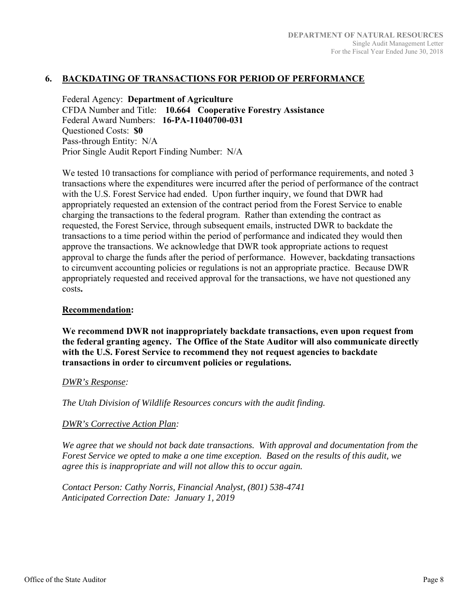#### **6. BACKDATING OF TRANSACTIONS FOR PERIOD OF PERFORMANCE**

Federal Agency: **Department of Agriculture**  CFDA Number and Title: **10.664 Cooperative Forestry Assistance**  Federal Award Numbers: **16-PA-11040700-031**  Questioned Costs: **\$0** Pass-through Entity: N/A Prior Single Audit Report Finding Number: N/A

We tested 10 transactions for compliance with period of performance requirements, and noted 3 transactions where the expenditures were incurred after the period of performance of the contract with the U.S. Forest Service had ended. Upon further inquiry, we found that DWR had appropriately requested an extension of the contract period from the Forest Service to enable charging the transactions to the federal program. Rather than extending the contract as requested, the Forest Service, through subsequent emails, instructed DWR to backdate the transactions to a time period within the period of performance and indicated they would then approve the transactions. We acknowledge that DWR took appropriate actions to request approval to charge the funds after the period of performance. However, backdating transactions to circumvent accounting policies or regulations is not an appropriate practice. Because DWR appropriately requested and received approval for the transactions, we have not questioned any costs**.** 

#### **Recommendation:**

**We recommend DWR not inappropriately backdate transactions, even upon request from the federal granting agency. The Office of the State Auditor will also communicate directly with the U.S. Forest Service to recommend they not request agencies to backdate transactions in order to circumvent policies or regulations.** 

#### *DWR's Response:*

*The Utah Division of Wildlife Resources concurs with the audit finding.* 

#### *DWR's Corrective Action Plan:*

*We agree that we should not back date transactions. With approval and documentation from the Forest Service we opted to make a one time exception. Based on the results of this audit, we agree this is inappropriate and will not allow this to occur again.* 

*Contact Person: Cathy Norris, Financial Analyst, (801) 538-4741 Anticipated Correction Date: January 1, 2019*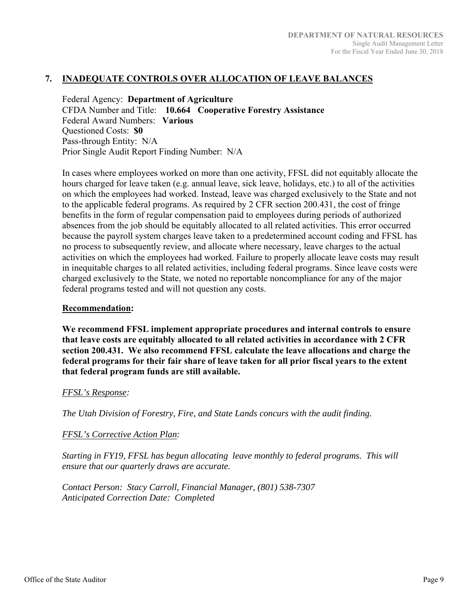# **7. INADEQUATE CONTROLS OVER ALLOCATION OF LEAVE BALANCES**

Federal Agency: **Department of Agriculture**  CFDA Number and Title: **10.664 Cooperative Forestry Assistance**  Federal Award Numbers: **Various**  Questioned Costs: **\$0** Pass-through Entity: N/A Prior Single Audit Report Finding Number: N/A

In cases where employees worked on more than one activity, FFSL did not equitably allocate the hours charged for leave taken (e.g. annual leave, sick leave, holidays, etc.) to all of the activities on which the employees had worked. Instead, leave was charged exclusively to the State and not to the applicable federal programs. As required by 2 CFR section 200.431, the cost of fringe benefits in the form of regular compensation paid to employees during periods of authorized absences from the job should be equitably allocated to all related activities. This error occurred because the payroll system charges leave taken to a predetermined account coding and FFSL has no process to subsequently review, and allocate where necessary, leave charges to the actual activities on which the employees had worked. Failure to properly allocate leave costs may result in inequitable charges to all related activities, including federal programs. Since leave costs were charged exclusively to the State, we noted no reportable noncompliance for any of the major federal programs tested and will not question any costs.

#### **Recommendation:**

**We recommend FFSL implement appropriate procedures and internal controls to ensure that leave costs are equitably allocated to all related activities in accordance with 2 CFR section 200.431. We also recommend FFSL calculate the leave allocations and charge the federal programs for their fair share of leave taken for all prior fiscal years to the extent that federal program funds are still available.** 

#### *FFSL's Response:*

*The Utah Division of Forestry, Fire, and State Lands concurs with the audit finding.* 

#### *FFSL's Corrective Action Plan:*

*Starting in FY19, FFSL has begun allocating leave monthly to federal programs. This will ensure that our quarterly draws are accurate.* 

*Contact Person: Stacy Carroll, Financial Manager, (801) 538-7307 Anticipated Correction Date: Completed*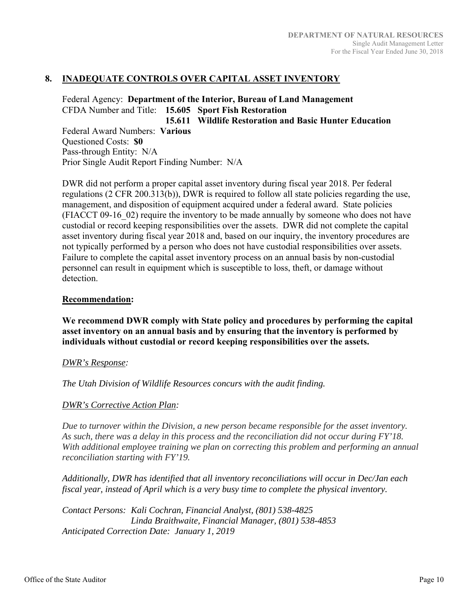# **8. INADEQUATE CONTROLS OVER CAPITAL ASSET INVENTORY**

Federal Agency: **Department of the Interior, Bureau of Land Management**  CFDA Number and Title: **15.605 Sport Fish Restoration** 

**15.611 Wildlife Restoration and Basic Hunter Education**  Federal Award Numbers: **Various**  Questioned Costs: **\$0** Pass-through Entity: N/A Prior Single Audit Report Finding Number: N/A

DWR did not perform a proper capital asset inventory during fiscal year 2018. Per federal regulations (2 CFR 200.313(b)), DWR is required to follow all state policies regarding the use, management, and disposition of equipment acquired under a federal award. State policies (FIACCT 09-16\_02) require the inventory to be made annually by someone who does not have custodial or record keeping responsibilities over the assets. DWR did not complete the capital asset inventory during fiscal year 2018 and, based on our inquiry, the inventory procedures are not typically performed by a person who does not have custodial responsibilities over assets. Failure to complete the capital asset inventory process on an annual basis by non-custodial personnel can result in equipment which is susceptible to loss, theft, or damage without detection.

#### **Recommendation:**

**We recommend DWR comply with State policy and procedures by performing the capital asset inventory on an annual basis and by ensuring that the inventory is performed by individuals without custodial or record keeping responsibilities over the assets.** 

#### *DWR's Response:*

*The Utah Division of Wildlife Resources concurs with the audit finding.* 

#### *DWR's Corrective Action Plan:*

*Due to turnover within the Division, a new person became responsible for the asset inventory. As such, there was a delay in this process and the reconciliation did not occur during FY'18. With additional employee training we plan on correcting this problem and performing an annual reconciliation starting with FY'19.*

*Additionally, DWR has identified that all inventory reconciliations will occur in Dec/Jan each fiscal year, instead of April which is a very busy time to complete the physical inventory.* 

*Contact Persons: Kali Cochran, Financial Analyst, (801) 538-4825 Linda Braithwaite, Financial Manager, (801) 538-4853 Anticipated Correction Date: January 1, 2019*